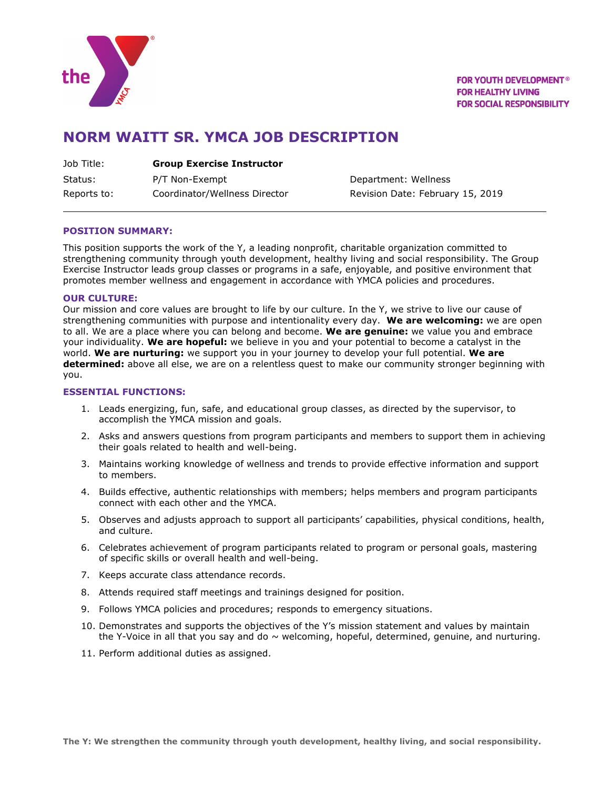

**FOR YOUTH DEVELOPMENT<sup>®</sup> FOR HEALTHY LIVING FOR SOCIAL RESPONSIBILITY** 

# **NORM WAITT SR. YMCA JOB DESCRIPTION**

| Job Title: | <b>Group Exercise Instructor</b> |
|------------|----------------------------------|
| Status:    | P/T Non-Exempt                   |

Reports to: Coordinator/Wellness Director Revision Date: February 15, 2019

Department: Wellness

## **POSITION SUMMARY:**

This position supports the work of the Y, a leading nonprofit, charitable organization committed to strengthening community through youth development, healthy living and social responsibility. The Group Exercise Instructor leads group classes or programs in a safe, enjoyable, and positive environment that promotes member wellness and engagement in accordance with YMCA policies and procedures.

### **OUR CULTURE:**

Our mission and core values are brought to life by our culture. In the Y, we strive to live our cause of strengthening communities with purpose and intentionality every day. **We are welcoming:** we are open to all. We are a place where you can belong and become. **We are genuine:** we value you and embrace your individuality. **We are hopeful:** we believe in you and your potential to become a catalyst in the world. **We are nurturing:** we support you in your journey to develop your full potential. **We are determined:** above all else, we are on a relentless quest to make our community stronger beginning with you.

### **ESSENTIAL FUNCTIONS:**

- 1. Leads energizing, fun, safe, and educational group classes, as directed by the supervisor, to accomplish the YMCA mission and goals.
- 2. Asks and answers questions from program participants and members to support them in achieving their goals related to health and well-being.
- 3. Maintains working knowledge of wellness and trends to provide effective information and support to members.
- 4. Builds effective, authentic relationships with members; helps members and program participants connect with each other and the YMCA.
- 5. Observes and adjusts approach to support all participants' capabilities, physical conditions, health, and culture.
- 6. Celebrates achievement of program participants related to program or personal goals, mastering of specific skills or overall health and well-being.
- 7. Keeps accurate class attendance records.
- 8. Attends required staff meetings and trainings designed for position.
- 9. Follows YMCA policies and procedures; responds to emergency situations.
- 10. Demonstrates and supports the objectives of the Y's mission statement and values by maintain the Y-Voice in all that you say and do  $\sim$  welcoming, hopeful, determined, genuine, and nurturing.
- 11. Perform additional duties as assigned.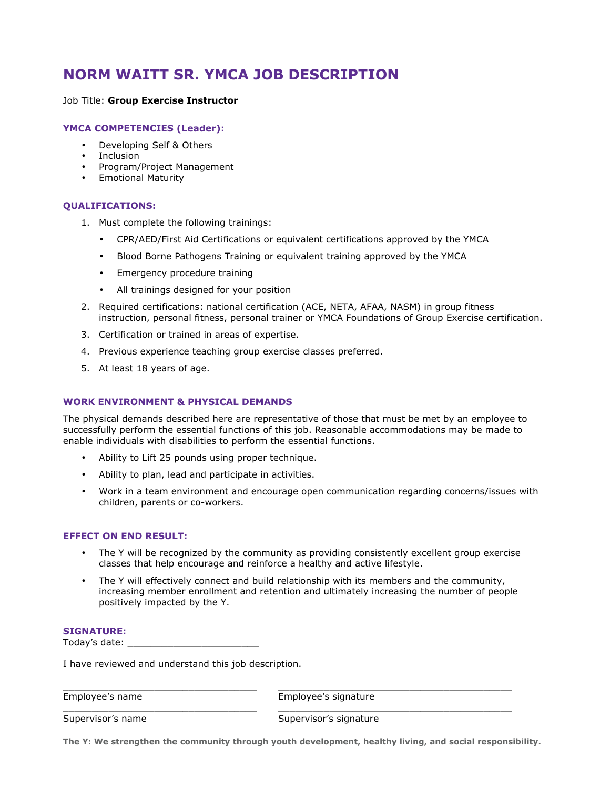# **NORM WAITT SR. YMCA JOB DESCRIPTION**

### Job Title: **Group Exercise Instructor**

## **YMCA COMPETENCIES (Leader):**

- Developing Self & Others
- **Inclusion**
- Program/Project Management
- Emotional Maturity

### **QUALIFICATIONS:**

- 1. Must complete the following trainings:
	- CPR/AED/First Aid Certifications or equivalent certifications approved by the YMCA
	- Blood Borne Pathogens Training or equivalent training approved by the YMCA
	- Emergency procedure training
	- All trainings designed for your position
- 2. Required certifications: national certification (ACE, NETA, AFAA, NASM) in group fitness instruction, personal fitness, personal trainer or YMCA Foundations of Group Exercise certification.
- 3. Certification or trained in areas of expertise.
- 4. Previous experience teaching group exercise classes preferred.
- 5. At least 18 years of age.

## **WORK ENVIRONMENT & PHYSICAL DEMANDS**

The physical demands described here are representative of those that must be met by an employee to successfully perform the essential functions of this job. Reasonable accommodations may be made to enable individuals with disabilities to perform the essential functions.

- Ability to Lift 25 pounds using proper technique.
- Ability to plan, lead and participate in activities.
- Work in a team environment and encourage open communication regarding concerns/issues with children, parents or co-workers.

#### **EFFECT ON END RESULT:**

- The Y will be recognized by the community as providing consistently excellent group exercise classes that help encourage and reinforce a healthy and active lifestyle.
- The Y will effectively connect and build relationship with its members and the community, increasing member enrollment and retention and ultimately increasing the number of people positively impacted by the Y.

#### **SIGNATURE:**

Today's date: \_\_\_\_\_\_\_\_\_\_\_\_\_\_\_\_\_\_\_\_\_\_\_

I have reviewed and understand this job description.

Employee's name Employee's signature

Supervisor's name Supervisor's signature

**The Y: We strengthen the community through youth development, healthy living, and social responsibility.**

\_\_\_\_\_\_\_\_\_\_\_\_\_\_\_\_\_\_\_\_\_\_\_\_\_\_\_\_\_\_\_\_\_\_ \_\_\_\_\_\_\_\_\_\_\_\_\_\_\_\_\_\_\_\_\_\_\_\_\_\_\_\_\_\_\_\_\_\_\_\_\_\_\_\_\_

\_\_\_\_\_\_\_\_\_\_\_\_\_\_\_\_\_\_\_\_\_\_\_\_\_\_\_\_\_\_\_\_\_\_ \_\_\_\_\_\_\_\_\_\_\_\_\_\_\_\_\_\_\_\_\_\_\_\_\_\_\_\_\_\_\_\_\_\_\_\_\_\_\_\_\_